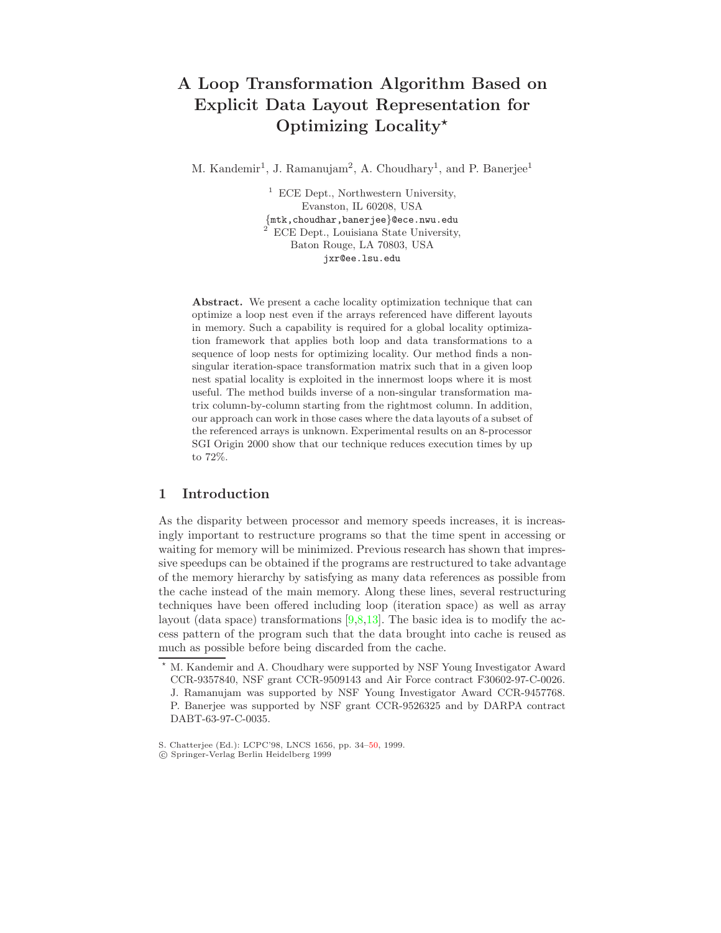# <span id="page-0-0"></span>**A Loop Transformation Algorithm Based on Explicit Data Layout Representation for Optimizing Locality**

M. Kandemir<sup>1</sup>, J. Ramanujam<sup>2</sup>, A. Choudhary<sup>1</sup>, and P. Banerjee<sup>1</sup>

 $1$  ECE Dept., Northwestern University, Evanston, IL 60208, USA {mtk,choudhar,banerjee}@ece.nwu.edu <sup>2</sup> ECE Dept., Louisiana State University, Baton Rouge, LA 70803, USA jxr@ee.lsu.edu

**Abstract.** We present a cache locality optimization technique that can optimize a loop nest even if the arrays referenced have different layouts in memory. Such a capability is required for a global locality optimization framework that applies both loop and data transformations to a sequence of loop nests for optimizing locality. Our method finds a nonsingular iteration-space transformation matrix such that in a given loop nest spatial locality is exploited in the innermost loops where it is most useful. The method builds inverse of a non-singular transformation matrix column-by-column starting from the rightmost column. In addition, our approach can work in those cases where the data layouts of a subset of the referenced arrays is unknown. Experimental results on an 8-processor SGI Origin 2000 show that our technique reduces execution times by up to 72%.

#### **1 Introduction**

As the disparity between processor and memory speeds increases, it is increasingly important to restructure programs so that the time spent in accessing or waiting for memory will be minimized. Previous research has shown that impressive speedups can be obtained if the programs are restructured to take advantage of the memory hierarchy by satisfying as many data references as possible from the cache instead of the main memory. Along these lines, several restructuring techniques have been offered including loop (iteration space) as well as array layout (data space) transformations  $[9,8,13]$  $[9,8,13]$  $[9,8,13]$ . The basic idea is to modify the access pattern of the program such that the data brought into cache is reused as much as possible before being discarded from the cache.

<sup>\*</sup> M. Kandemir and A. Choudhary were supported by NSF Young Investigator Award CCR-9357840, NSF grant CCR-9509143 and Air Force contract F30602-97-C-0026. J. Ramanujam was supported by NSF Young Investigator Award CCR-9457768. P. Banerjee was supported by NSF grant CCR-9526325 and by DARPA contract DABT-63-97-C-0035.

S. Chatterjee (Ed.): LCPC'98, LNCS 1656, pp. 34[–50,](#page-16-3) 1999.

c Springer-Verlag Berlin Heidelberg 1999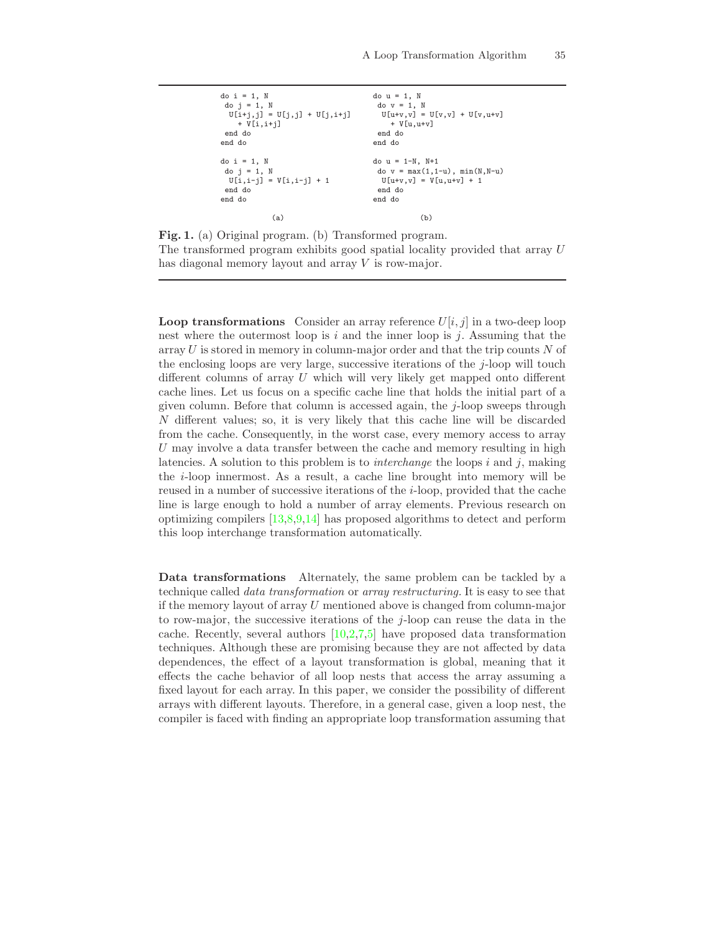```
do i = 1, Ndo j = 1, NU[i+j,j] = U[j,j] + U[j,i+j]+ V[i,i+j]
 end do
end do
do i = 1, N
do j = 1, N
 U[i, i-j] = V[i, i-j] + 1end do
end do
            (a)
                                   do u = 1, N
                                    do v = 1. N
                                     U[u+v,v] = U[v,v] + U[v,u+v]+ V[u,u+v]
                                    end do
                                   end do
                                   do u = 1-N, N+1do v = max(1, 1-u), min(N, N-u)U[u+v,v] = V[u,u+v] + 1end do
                                   end do
                                              (b)
```
Fig. 1. (a) Original program. (b) Transformed program. The transformed program exhibits good spatial locality provided that array U has diagonal memory layout and array V is row-major.

**Loop transformations** Consider an array reference  $U[i, j]$  in a two-deep loop nest where the outermost loop is  $i$  and the inner loop is  $j$ . Assuming that the array  $U$  is stored in memory in column-major order and that the trip counts  $N$  of the enclosing loops are very large, successive iterations of the  $i$ -loop will touch different columns of array  $U$  which will very likely get mapped onto different cache lines. Let us focus on a specific cache line that holds the initial part of a given column. Before that column is accessed again, the  $j$ -loop sweeps through N different values; so, it is very likely that this cache line will be discarded from the cache. Consequently, in the worst case, every memory access to array U may involve a data transfer between the cache and memory resulting in high latencies. A solution to this problem is to *interchange* the loops i and j, making the i-loop innermost. As a result, a cache line brought into memory will be reused in a number of successive iterations of the  $i$ -loop, provided that the cache line is large enough to hold a number of array elements. Previous research on optimizing compilers [\[13,](#page-16-4)[8,](#page-16-5)[9,](#page-16-6)[14\]](#page-16-7) has proposed algorithms to detect and perform this loop interchange transformation automatically.

**Data transformations** Alternately, the same problem can be tackled by a technique called *data transformation* or *array restructuring.* It is easy to see that if the memory layout of array  $U$  mentioned above is changed from column-major to row-major, the successive iterations of the  $j$ -loop can reuse the data in the cache. Recently, several authors  $[10,2,7,5]$  $[10,2,7,5]$  $[10,2,7,5]$  $[10,2,7,5]$  have proposed data transformation techniques. Although these are promising because they are not affected by data dependences, the effect of a layout transformation is global, meaning that it effects the cache behavior of all loop nests that access the array assuming a fixed layout for each array. In this paper, we consider the possibility of different arrays with different layouts. Therefore, in a general case, given a loop nest, the compiler is faced with finding an appropriate loop transformation assuming that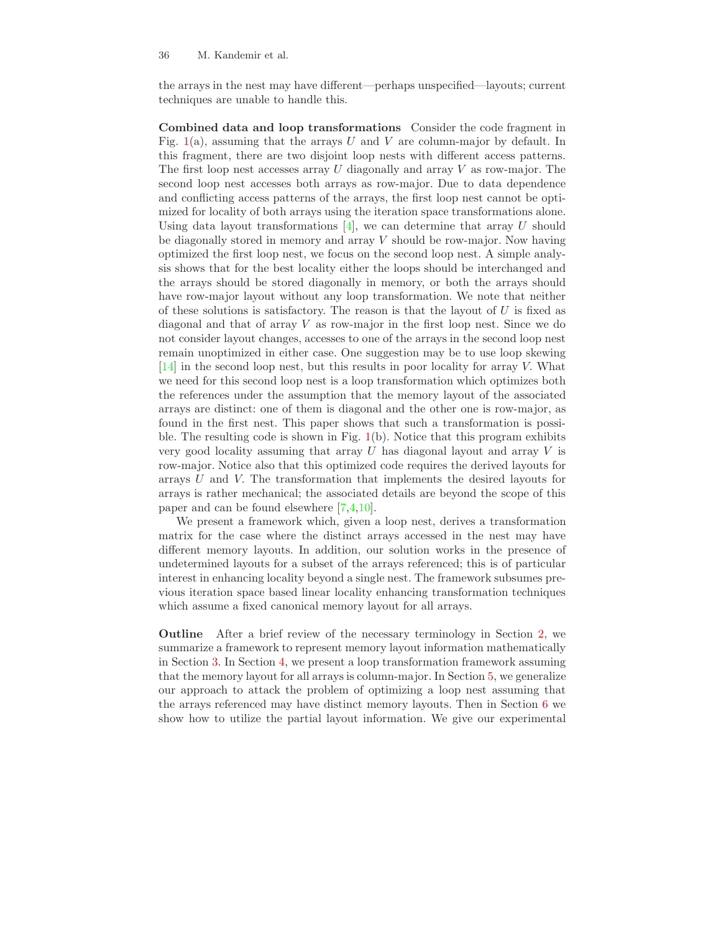<span id="page-2-0"></span>the arrays in the nest may have different—perhaps unspecified—layouts; current techniques are unable to handle this.

**Combined data and loop transformations** Consider the code fragment in Fig. [1\(](#page-1-0)a), assuming that the arrays U and V are column-major by default. In this fragment, there are two disjoint loop nests with different access patterns. The first loop nest accesses array  $U$  diagonally and array  $V$  as row-major. The second loop nest accesses both arrays as row-major. Due to data dependence and conflicting access patterns of the arrays, the first loop nest cannot be optimized for locality of both arrays using the iteration space transformations alone. Using data layout transformations  $[4]$ , we can determine that array U should be diagonally stored in memory and array V should be row-major. Now having optimized the first loop nest, we focus on the second loop nest. A simple analysis shows that for the best locality either the loops should be interchanged and the arrays should be stored diagonally in memory, or both the arrays should have row-major layout without any loop transformation. We note that neither of these solutions is satisfactory. The reason is that the layout of  $U$  is fixed as diagonal and that of array  $V$  as row-major in the first loop nest. Since we do not consider layout changes, accesses to one of the arrays in the second loop nest remain unoptimized in either case. One suggestion may be to use loop skewing [\[14\]](#page-16-13) in the second loop nest, but this results in poor locality for array V. What we need for this second loop nest is a loop transformation which optimizes both the references under the assumption that the memory layout of the associated arrays are distinct: one of them is diagonal and the other one is row-major, as found in the first nest. This paper shows that such a transformation is possible. The resulting code is shown in Fig. [1\(](#page-1-0)b). Notice that this program exhibits very good locality assuming that array  $U$  has diagonal layout and array  $V$  is row-major. Notice also that this optimized code requires the derived layouts for arrays U and V. The transformation that implements the desired layouts for arrays is rather mechanical; the associated details are beyond the scope ofthis paper and can be found elsewhere [\[7,](#page-16-14)[4,](#page-16-12)[10\]](#page-16-15).

We present a framework which, given a loop nest, derives a transformation matrix for the case where the distinct arrays accessed in the nest may have different memory layouts. In addition, our solution works in the presence of undetermined layouts for a subset of the arrays referenced; this is of particular interest in enhancing locality beyond a single nest. The framework subsumes previous iteration space based linear locality enhancing transformation techniques which assume a fixed canonical memory layout for all arrays.

**Outline** After a brief review of the necessary terminology in Section [2,](#page-3-0) we summarize a framework to represent memory layout information mathematically in Section [3.](#page-3-1) In Section [4,](#page-5-0) we present a loop transformation framework assuming that the memory layout for all arrays is column-major. In Section [5,](#page-7-0) we generalize our approach to attack the problem of optimizing a loop nest assuming that the arrays referenced may have distinct memory layouts. Then in Section [6](#page-10-0) we show how to utilize the partial layout information. We give our experimental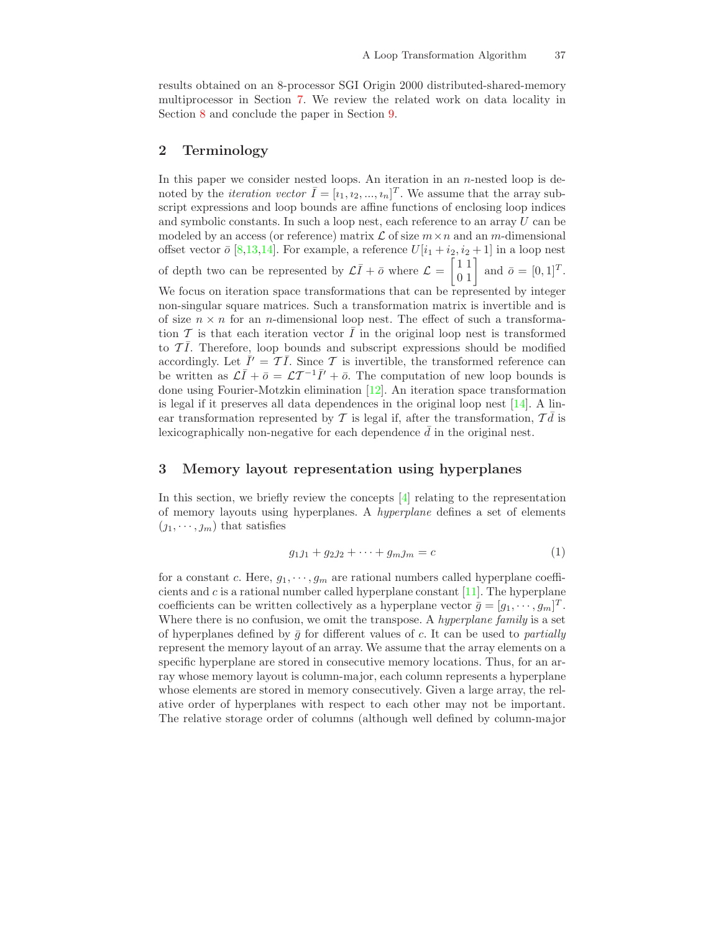<span id="page-3-2"></span><span id="page-3-0"></span>results obtained on an 8-processor SGI Origin 2000 distributed-shared-memory multiprocessor in Section [7.](#page-11-0) We review the related work on data locality in Section [8](#page-15-0) and conclude the paper in Section [9.](#page-16-16)

## **2 Terminology**

In this paper we consider nested loops. An iteration in an n-nested loop is denoted by the *iteration vector*  $\bar{I} = [i_1, i_2, ..., i_n]^T$ . We assume that the array subscript expressions and loop bounds are affine functions of enclosing loop indices and symbolic constants. In such a loop nest, each reference to an array U can be modeled by an access (or reference) matrix  $\mathcal L$  of size  $m \times n$  and an m-dimensional offset vector  $\bar{o}$  [\[8](#page-16-5)[,13,](#page-16-4)[14\]](#page-16-7). For example, a reference  $U[i_1 + i_2, i_2 + 1]$  in a loop nest of depth two can be represented by  $\mathcal{L}\bar{I} + \bar{\sigma}$  where  $\mathcal{L} = \begin{bmatrix} 1 & 1 \\ 0 & 1 \end{bmatrix}$  and  $\bar{\sigma} = [0, 1]^T$ . We focus on iteration space transformations that can be represented by integer non-singular square matrices. Such a transformation matrix is invertible and is of size  $n \times n$  for an *n*-dimensional loop nest. The effect of such a transformation T is that each iteration vector  $\bar{I}$  in the original loop nest is transformed to  $\mathcal{T}\overline{I}$ . Therefore, loop bounds and subscript expressions should be modified accordingly. Let  $\bar{I}' = \mathcal{T}\bar{I}$ . Since  $\mathcal{T}$  is invertible, the transformed reference can be written as  $\mathcal{L}\bar{I} + \bar{o} = \mathcal{L}\mathcal{T}^{-1}\bar{I}' + \bar{o}$ . The computation of new loop bounds is done using Fourier-Motzkin elimination [\[12\]](#page-16-17). An iteration space transformation is legal if it preserves all data dependences in the original loop nest  $[14]$ . A lin-

## **3 Memory layout representation using hyperplanes**

In this section, we briefly review the concepts [\[4\]](#page-16-18) relating to the representation of memory layouts using hyperplanes. A *hyperplane* defines a set of elements  $(j_1, \dots, j_m)$  that satisfies

<span id="page-3-1"></span>ear transformation represented by  $\mathcal T$  is legal if, after the transformation,  $\mathcal T\bar d$  is lexicographically non-negative for each dependence  $\bar{d}$  in the original nest.

$$
g_{1}j_{1} + g_{2}j_{2} + \dots + g_{m}j_{m} = c \tag{1}
$$

for a constant c. Here,  $g_1, \dots, g_m$  are rational numbers called hyperplane coefficients and c is a rational number called hyperplane constant  $[11]$ . The hyperplane coefficients can be written collectively as a hyperplane vector  $\bar{g} = [g_1, \dots, g_m]^T$ . Where there is no confusion, we omit the transpose. A *hyperplane family* is a set of hyperplanes defined by  $\bar{q}$  for different values of c. It can be used to *partially* represent the memory layout of an array. We assume that the array elements on a specific hyperplane are stored in consecutive memory locations. Thus, for an array whose memory layout is column-major, each column represents a hyperplane whose elements are stored in memory consecutively. Given a large array, the relative order of hyperplanes with respect to each other may not be important. The relative storage order of columns (although well defined by column-major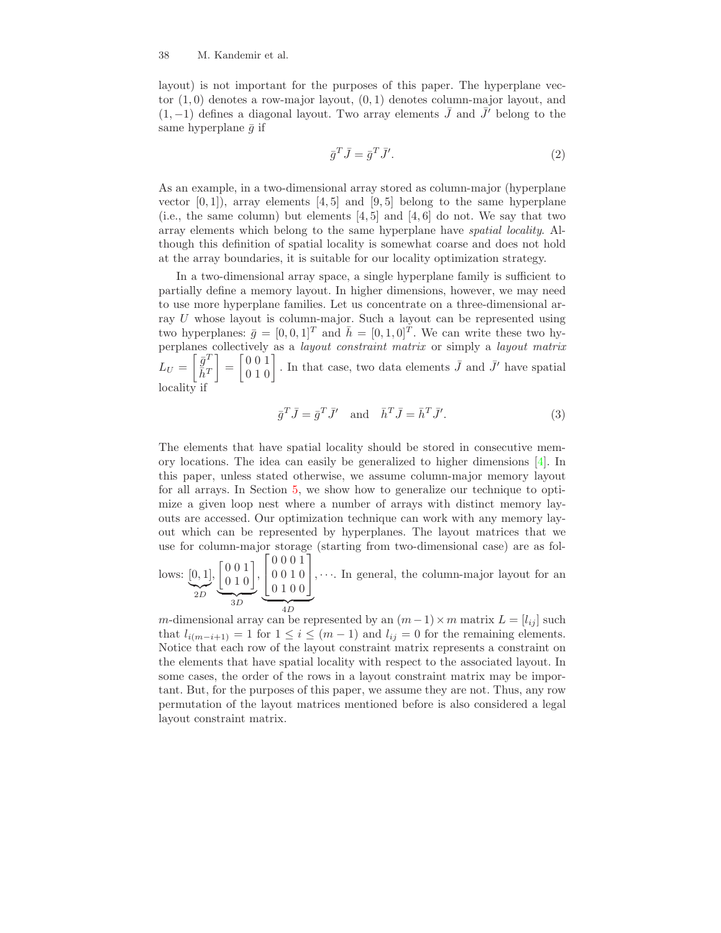<span id="page-4-2"></span>layout) is not important for the purposes of this paper. The hyperplane vector  $(1,0)$  denotes a row-major layout,  $(0,1)$  denotes column-major layout, and  $(1, -1)$  defines a diagonal layout. Two array elements  $\bar{J}$  and  $\bar{J}'$  belong to the same hyperplane  $\bar{q}$  if

<span id="page-4-0"></span>
$$
\bar{g}^T \bar{J} = \bar{g}^T \bar{J}'.\tag{2}
$$

As an example, in a two-dimensional array stored as column-major (hyperplane vector  $[0, 1]$ ), array elements  $[4, 5]$  and  $[9, 5]$  belong to the same hyperplane (i.e., the same column) but elements  $[4,5]$  and  $[4,6]$  do not. We say that two array elements which belong to the same hyperplane have *spatial locality*. Although this definition of spatial locality is somewhat coarse and does not hold at the array boundaries, it is suitable for our locality optimization strategy.

In a two-dimensional array space, a single hyperplane family is sufficient to partially define a memory layout. In higher dimensions, however, we may need to use more hyperplane families. Let us concentrate on a three-dimensional array  $U$  whose layout is column-major. Such a layout can be represented using two hyperplanes:  $\bar{g} = [0, 0, 1]^T$  and  $\bar{h} = [0, 1, 0]^T$ . We can write these two hyperplanes collectively as a *layout constraint matrix* or simply a *layout matrix*  $L_U = \left[\frac{\bar{g}^T}{\bar{h}^T}\right]$  $\bar{\bar{h}}^T$  $\begin{bmatrix} 0 & 0 & 1 \\ 0 & 1 & 0 \end{bmatrix}$ . In that case, two data elements  $\bar{J}$  and  $\bar{J}'$  have spatial locality

<span id="page-4-1"></span>
$$
\bar{g}^T \bar{J} = \bar{g}^T \bar{J}' \quad \text{and} \quad \bar{h}^T \bar{J} = \bar{h}^T \bar{J}'. \tag{3}
$$

The elements that have spatial locality should be stored in consecutive memory locations. The idea can easily be generalized to higher dimensions [\[4\]](#page-16-12). In this paper, unless stated otherwise, we assume column-major memory layout for all arrays. In Section [5,](#page-7-0) we show how to generalize our technique to optimize a given loop nest where a number of arrays with distinct memory layouts are accessed. Our optimization technique can work with any memory layout which can be represented by hyperplanes. The layout matrices that we use for column-major storage (starting from two-dimensional case) are as fol- $\sqrt{ }$ 0001 1

lows: [0, 1]  $\sum_{2D}$  $, \left[ \begin{smallmatrix} 0 & 0 & 1 \\ 0 & 1 & 0 \end{smallmatrix} \right]$  $\frac{1}{3D}$ ,  $\overline{\phantom{a}}$ 0010 0100  $\overline{1}$  $\sqrt{4D}$ , ···. In general, the column-major layout for an

m-dimensional array can be represented by an  $(m-1) \times m$  matrix  $L = [l_{ij}]$  such that  $l_{i(m-i+1)} = 1$  for  $1 \le i \le (m-1)$  and  $l_{ij} = 0$  for the remaining elements. Notice that each row of the layout constraint matrix represents a constraint on the elements that have spatial locality with respect to the associated layout. In some cases, the order of the rows in a layout constraint matrix may be important. But, for the purposes of this paper, we assume they are not. Thus, any row permutation of the layout matrices mentioned before is also considered a legal layout constraint matrix.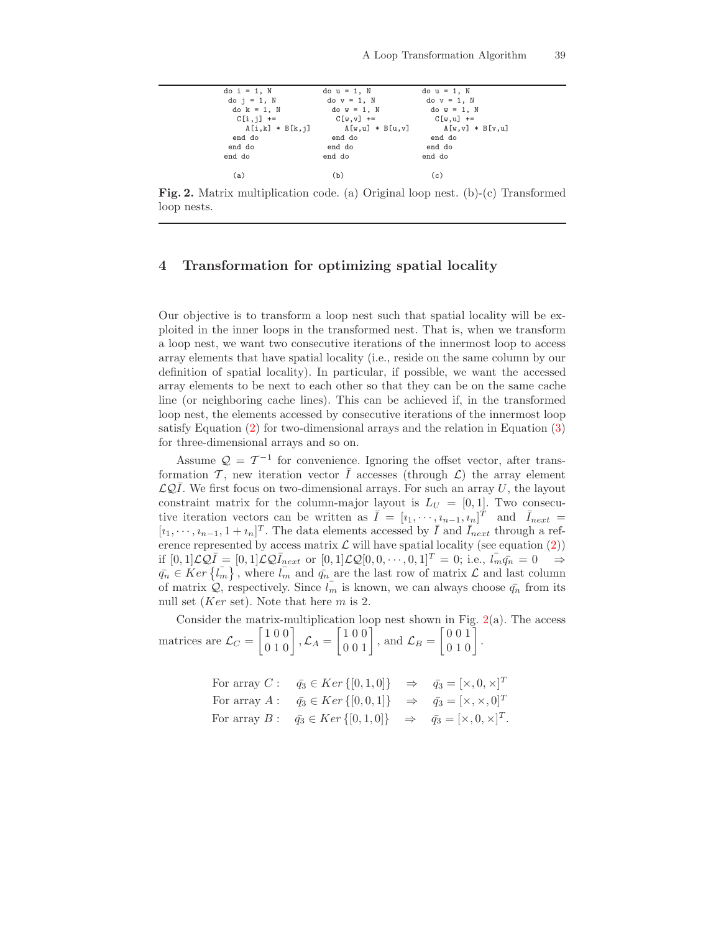<span id="page-5-2"></span><span id="page-5-1"></span>

**Fig. 2.** Matrix multiplication code. (a) Original loop nest. (b)-(c) Transformed loop nests.

#### <span id="page-5-0"></span>**4 Transformation for optimizing spatial locality**

Our objective is to transform a loop nest such that spatial locality will be exploited in the inner loops in the transformed nest. That is, when we transform a loop nest, we want two consecutive iterations ofthe innermost loop to access array elements that have spatial locality (i.e., reside on the same column by our definition of spatial locality). In particular, if possible, we want the accessed array elements to be next to each other so that they can be on the same cache line (or neighboring cache lines). This can be achieved if, in the transformed loop nest, the elements accessed by consecutive iterations of the innermost loop satisfy Equation [\(2\)](#page-4-0) for two-dimensional arrays and the relation in Equation [\(3\)](#page-4-1) for three-dimensional arrays and so on.

Assume  $\mathcal{Q} = \mathcal{T}^{-1}$  for convenience. Ignoring the offset vector, after transformation T, new iteration vector  $\overline{I}$  accesses (through  $\mathcal{L}$ ) the array element  $\mathcal{L}Q\overline{I}$ . We first focus on two-dimensional arrays. For such an array U, the layout constraint matrix for the column-major layout is  $L_U = [0, 1]$ . Two consecutive iteration vectors can be written as  $\overline{I} = [i_1, \dots, i_{n-1}, i_n]^T$  and  $\overline{I}_{next} =$  $[i_1, \dots, i_{n-1}, 1 + i_n]^T$ . The data elements accessed by  $\overline{I}$  and  $\overline{I}_{next}$  through a reference represented by access matrix  $\mathcal L$  will have spatial locality (see equation [\(2\)](#page-4-0)) if  $[0, 1]\mathcal{LQ}\overline{I} = [0, 1]\mathcal{LQ}\overline{I}_{next}$  or  $[0, 1]\mathcal{LQ}[0, 0, \cdots, 0, 1]^T = 0$ ; i.e.,  $l_m\overline{q}_n = 0 \Rightarrow$  $\bar{q}_n \in \text{Ker} \{l_m\}$ , where  $l_m$  and  $\bar{q}_n$  are the last row of matrix  $\mathcal L$  and last column of matrix Q, respectively. Since  $l_m$  is known, we can always choose  $\bar{q}_n$  from its null set (*Ker* set). Note that here  $m$  is 2.

Consider the matrix-multiplication loop nest shown in Fig.  $2(a)$  $2(a)$ . The access matrices are  $\mathcal{L}_C = \begin{bmatrix} 1 & 0 & 0 \\ 0 & 1 & 0 \end{bmatrix}$ ,  $\mathcal{L}_A = \begin{bmatrix} 1 & 0 & 0 \\ 0 & 0 & 1 \end{bmatrix}$ , and  $\mathcal{L}_B = \begin{bmatrix} 0 & 0 & 1 \\ 0 & 1 & 0 \end{bmatrix}$ .

| For array C: $\bar{q}_3 \in \text{Ker} \{ [0, 1, 0] \} \Rightarrow \bar{q}_3 = [\times, 0, \times]^T$         |  |
|---------------------------------------------------------------------------------------------------------------|--|
| For array $A: \bar{q}_3 \in \text{Ker}\left\{ [0,0,1] \right\} \Rightarrow \bar{q}_3 = [\times, \times, 0]^T$ |  |
| For array $B: \bar{q}_3 \in \text{Ker}\left\{ [0,1,0] \right\} \Rightarrow \bar{q}_3 = [\times,0,\times]^T$ . |  |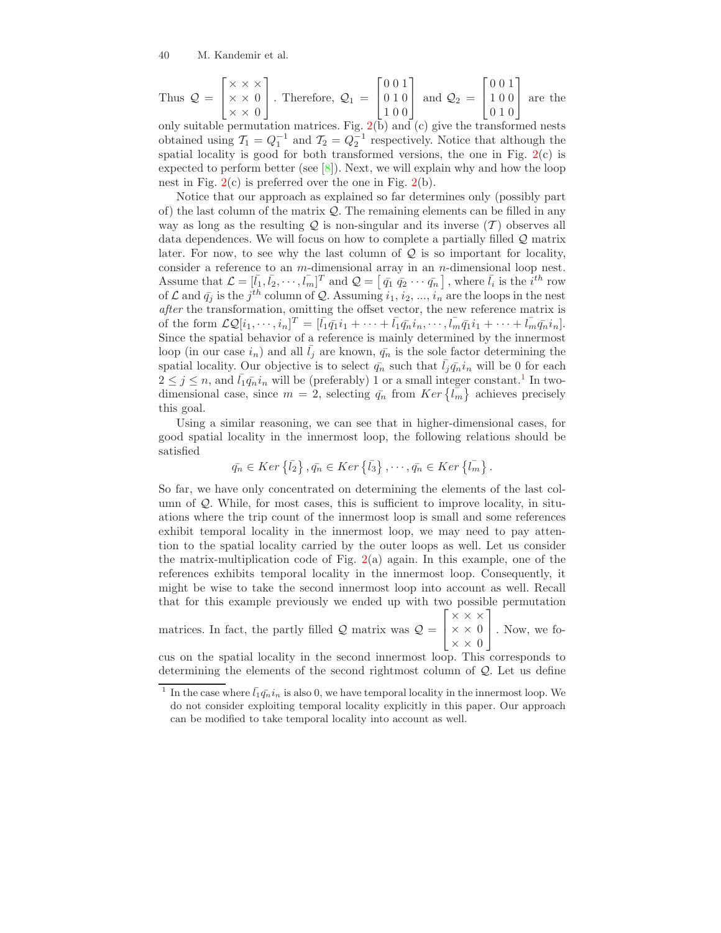<span id="page-6-1"></span>Thus 
$$
Q = \begin{bmatrix} x & x & x \\ x & x & 0 \\ x & x & 0 \end{bmatrix}
$$
. Therefore,  $Q_1 = \begin{bmatrix} 0 & 0 & 1 \\ 0 & 1 & 0 \\ 1 & 0 & 0 \end{bmatrix}$  and  $Q_2 = \begin{bmatrix} 0 & 0 & 1 \\ 1 & 0 & 0 \\ 0 & 1 & 0 \end{bmatrix}$  are the

only suitable permutation matrices. Fig.  $2(b)$  $2(b)$  and (c) give the transformed nests obtained using  $\mathcal{T}_1 = Q_1^{-1}$  and  $\mathcal{T}_2 = Q_2^{-1}$  respectively. Notice that although the spatial locality is good for both transformed versions, the one in Fig.  $2(c)$  $2(c)$  is expected to perform better (see [\[8\]](#page-16-1)). Next, we will explain why and how the loop nest in Fig.  $2(c)$  $2(c)$  is preferred over the one in Fig.  $2(b)$ .

Notice that our approach as explained so far determines only (possibly part of) the last column of the matrix  $Q$ . The remaining elements can be filled in any way as long as the resulting  $Q$  is non-singular and its inverse  $(T)$  observes all data dependences. We will focus on how to complete a partially filled  $\mathcal{Q}$  matrix later. For now, to see why the last column of  $\mathcal Q$  is so important for locality, consider a reference to an  $m$ -dimensional array in an  $n$ -dimensional loop nest. Assume that  $\mathcal{L} = [\bar{l}_1, \bar{l}_2, \cdots, \bar{l}_m]^T$  and  $\mathcal{Q} = [\bar{q}_1 \ \bar{q}_2 \cdots \bar{q}_n]$ , where  $\bar{l}_i$  is the  $i^{th}$  row of  $\mathcal L$  and  $\bar{q}_j$  is the j<sup>th</sup> column of  $\mathcal Q$ . Assuming  $i_1, i_2, ..., i_n$  are the loops in the nest *after* the transformation, omitting the offset vector, the new reference matrix is of the form  $\mathcal{L}\mathcal{Q}[i_1,\dots,i_n]^T=[\bar{l}_1\bar{q}_1i_1+\dots+\bar{l}_1\bar{q}_ni_n,\dots,\bar{l}_m\bar{q}_1i_1+\dots+\bar{l}_m\bar{q}_ni_n].$ Since the spatial behavior of a reference is mainly determined by the innermost loop (in our case  $i_n$ ) and all  $\bar{l}_j$  are known,  $\bar{q}_n$  is the sole factor determining the spatial locality. Our objective is to select  $\bar{q}_n$  such that  $\bar{l}_j \bar{q}_n i_n$  will be 0 for each  $2 \leq j \leq n$ , and  $l_1 \bar{q_n} i_n$  $l_1 \bar{q_n} i_n$  $l_1 \bar{q_n} i_n$  will be (preferably) 1 or a small integer constant.<sup>1</sup> In twodimensional case, since  $m = 2$ , selecting  $\bar{q}_n$  from  $Ker\{\bar{l}_m\}$  achieves precisely this goal.

Using a similar reasoning, we can see that in higher-dimensional cases, for good spatial locality in the innermost loop, the following relations should be satisfied

$$
\bar{q_n} \in Ker\left\{ \bar{l_2} \right\}, \bar{q_n} \in Ker\left\{ \bar{l_3} \right\}, \cdots, \bar{q_n} \in Ker\left\{ \bar{l_m} \right\}.
$$

<span id="page-6-0"></span>So far, we have only concentrated on determining the elements of the last column of  $\mathcal{Q}$ . While, for most cases, this is sufficient to improve locality, in situations where the trip count of the innermost loop is small and some references exhibit temporal locality in the innermost loop, we may need to pay attention to the spatial locality carried by the outer loops as well. Let us consider the matrix-multiplication code of Fig.  $2(a)$  $2(a)$  again. In this example, one of the references exhibits temporal locality in the innermost loop. Consequently, it might be wise to take the second innermost loop into account as well. Recall that for this example previously we ended up with two possible permutation matrices. In fact, the partly filled  $\mathcal Q$  matrix was  $\mathcal Q$  =  $\sqrt{ }$  $\overline{1}$ ×××  $\times \times 0$  $\times \times 0$ 1 . Now, we fo-

cus on the spatial locality in the second innermost loop. This corresponds to determining the elements of the second rightmost column of  $Q$ . Let us define

In the case where  $\bar{l}_1\bar{q}_n i_n$  is also 0, we have temporal locality in the innermost loop. We do not consider exploiting temporal locality explicitly in this paper. Our approach can be modified to take temporal locality into account as well.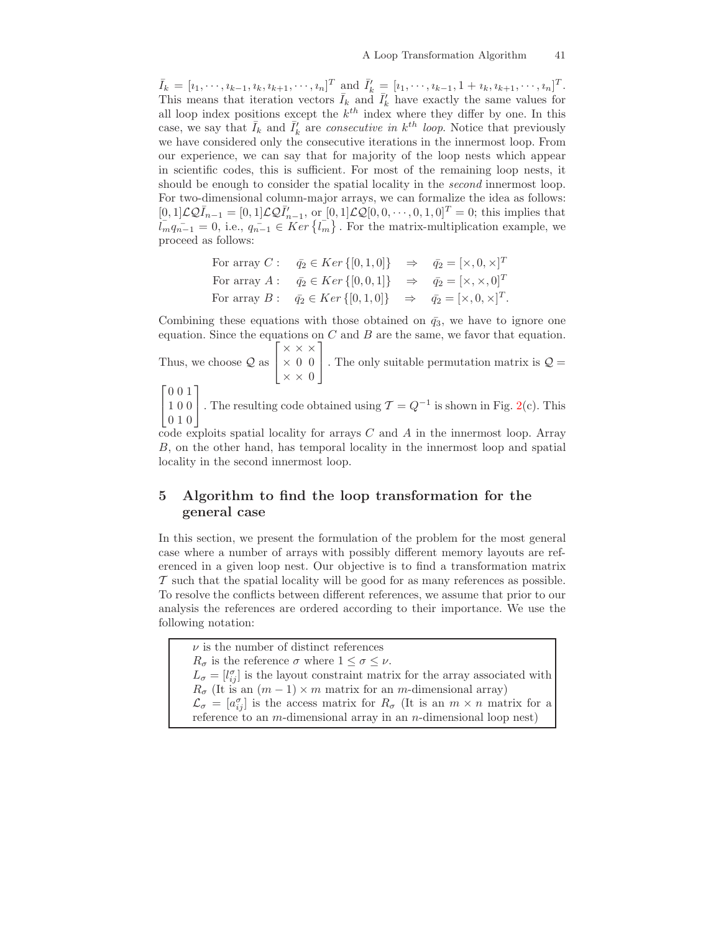$\bar{I}_k = [i_1, \dots, i_{k-1}, i_k, i_{k+1}, \dots, i_n]^T$  and  $\bar{I}'_k = [i_1, \dots, i_{k-1}, 1 + i_k, i_{k+1}, \dots, i_n]^T$ . This means that iteration vectors  $\bar{I}_k$  and  $\bar{I}'_k$  have exactly the same values for all loop index positions except the  $k^{th}$  index where they differ by one. In this case, we say that  $\bar{I}_k$  and  $\bar{I}'_k$  are *consecutive in*  $k^{th}$  *loop*. Notice that previously we have considered only the consecutive iterations in the innermost loop. From our experience, we can say that for majority of the loop nests which appear in scientific codes, this is sufficient. For most of the remaining loop nests, it should be enough to consider the spatial locality in the *second* innermost loop. For two-dimensional column-major arrays, we can formalize the idea as follows:  $[0,1]\mathcal{LQ}\overline{I}_{n-1} = [0,1]\mathcal{LQ}\overline{I}'_n$  $[0,1]\mathcal{L}\mathcal{Q}\bar{I}_{n-1} = [0,1]\mathcal{L}\mathcal{Q}\bar{I}'_{n-1}$ , or  $[0,1]\mathcal{L}\mathcal{Q}[0,0,\cdots,0,1,0]^T = 0$ ; this implies that  $l_mq_{n-1} = 0$ , i.e.,  $q_{n-1} \in Ker\{l_m\}$ . For the matrix-multiplication example, we proceed as follows:

For array 
$$
C: \quad \bar{q}_2 \in Ker \{ [0, 1, 0] \} \Rightarrow \quad \bar{q}_2 = [ \times, 0, \times ]^T
$$
  
For array  $A: \quad \bar{q}_2 \in Ker \{ [0, 0, 1] \} \Rightarrow \quad \bar{q}_2 = [ \times, \times, 0 ]^T$   
For array  $B: \quad \bar{q}_2 \in Ker \{ [0, 1, 0] \} \Rightarrow \bar{q}_2 = [ \times, 0, \times ]^T$ .

Combining these equations with those obtained on  $\bar{q}_3$ , we have to ignore one equation. Since the equations on  $C$  and  $B$  are the same, we favor that equation.

Thus, we choose Q as  $\sqrt{ }$  $\overline{1}$ ×××  $\times$  0 0  $\times \times 0$ 1 . The only suitable permutation matrix is  $\mathcal{Q} =$ 

 $\begin{bmatrix} 0 & 0 & 1 \end{bmatrix}$  $\begin{bmatrix} 1 & 0 & 0 \\ 0 & 1 & 0 \end{bmatrix}$ . The resulting code obtained using  $\mathcal{T} = Q^{-1}$  is shown in Fig. [2\(](#page-5-1)c). This 010

<span id="page-7-0"></span>code exploits spatial locality for arrays  $C$  and  $A$  in the innermost loop. Array B, on the other hand, has temporal locality in the innermost loop and spatial locality in the second innermost loop.

# **5 Algorithm to find the loop transformation for the general case**

In this section, we present the formulation of the problem for the most general case where a number of arrays with possibly different memory layouts are referenced in a given loop nest. Our objective is to find a transformation matrix T such that the spatial locality will be good for as many references as possible. To resolve the conflicts between different references, we assume that prior to our analysis the references are ordered according to their importance. We use the following notation:

 $\nu$  is the number of distinct references  $R_{\sigma}$  is the reference  $\sigma$  where  $1 \leq \sigma \leq \nu$ .  $L_{\sigma}=[l^{\sigma}_{ij}]$  is the layout constraint matrix for the array associated with  $R_{\sigma}$  (It is an  $(m-1) \times m$  matrix for an m-dimensional array)  $\mathcal{L}_{\sigma} = [a_{ij}^{\sigma}]$  is the access matrix for  $R_{\sigma}$  (It is an  $m \times n$  matrix for a reference to an  $m$ -dimensional array in an  $n$ -dimensional loop nest)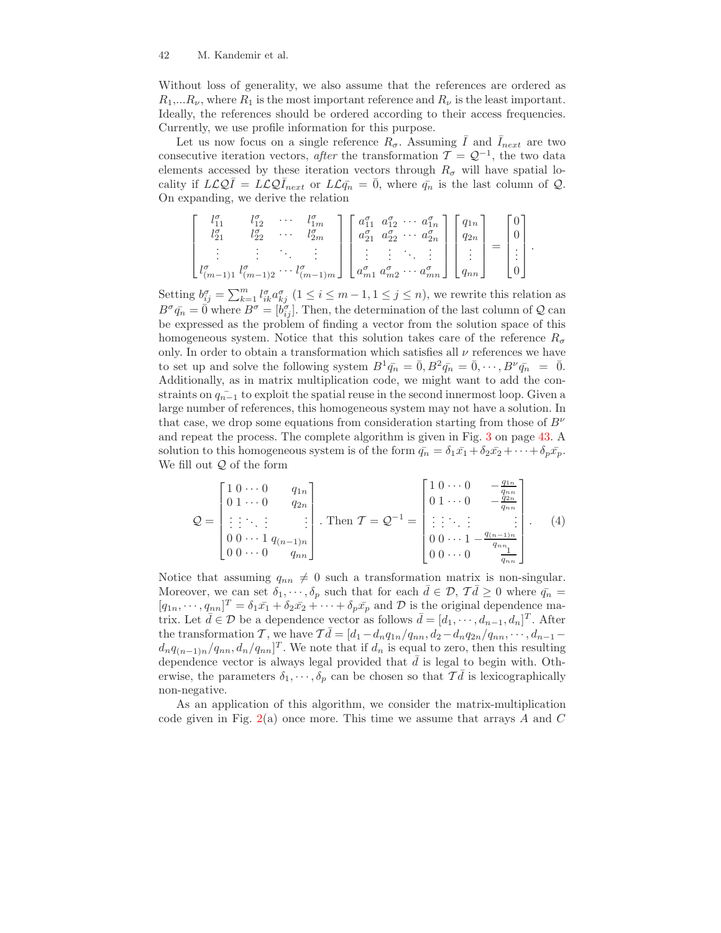Without loss of generality, we also assume that the references are ordered as  $R_1,...R_\nu$ , where  $R_1$  is the most important reference and  $R_\nu$  is the least important. Ideally, the references should be ordered according to their access frequencies. Currently, we use profile information for this purpose.

Let us now focus on a single reference  $R_{\sigma}$ . Assuming  $\bar{I}$  and  $\bar{I}_{next}$  are two consecutive iteration vectors, *after* the transformation  $\mathcal{T} = \mathcal{Q}^{-1}$ , the two data elements accessed by these iteration vectors through  $R_{\sigma}$  will have spatial locality if  $L\mathcal{L}Q\overline{I} = L\mathcal{L}Q\overline{I}_{next}$  or  $L\mathcal{L}\overline{q}_n = \overline{0}$ , where  $\overline{q}_n$  is the last column of  $\mathcal{Q}$ . On expanding, we derive the relation

$$
\begin{bmatrix}\n l_{11}^{\sigma} & l_{12}^{\sigma} & \cdots & l_{1m}^{\sigma} \\
 l_{21}^{\sigma} & l_{22}^{\sigma} & \cdots & l_{2m}^{\sigma} \\
 \vdots & \vdots & \ddots & \vdots \\
 l_{(m-1)1}^{\sigma} & l_{(m-1)2}^{\sigma} & \cdots & l_{(m-1)m}^{\sigma}\n\end{bmatrix}\n\begin{bmatrix}\na_{11}^{\sigma} & a_{12}^{\sigma} & \cdots & a_{1n}^{\sigma} \\
a_{21}^{\sigma} & a_{22}^{\sigma} & \cdots & a_{2n}^{\sigma} \\
 \vdots & \vdots & \ddots & \vdots \\
 a_{m1}^{\sigma} & a_{m2}^{\sigma} & \cdots & a_{mn}^{\sigma}\n\end{bmatrix}\n\begin{bmatrix}\n q_{1n} \\
 q_{2n} \\
 \vdots \\
 q_{nn}\n\end{bmatrix} =\n\begin{bmatrix}\n 0 \\
 0 \\
 \vdots \\
 0\n\end{bmatrix}.
$$

Setting  $b_{ij}^{\sigma} = \sum_{k=1}^{m} l_{ik}^{\sigma} a_{kj}^{\sigma}$   $(1 \le i \le m-1, 1 \le j \le n)$ , we rewrite this relation as  $B^{\sigma} \bar{q_n} = \bar{0}$  where  $B^{\sigma} = [b_{ij}^{\sigma}]$ . Then, the determination of the last column of Q can be expressed as the problem of finding a vector from the solution space of this homogeneous system. Notice that this solution takes care of the reference  $R_{\sigma}$ only. In order to obtain a transformation which satisfies all  $\nu$  references we have to set up and solve the following system  $B^1\bar{q}_n = \bar{0}, B^2\bar{q}_n = \bar{0}, \cdots, B^{\nu}\bar{q}_n = \bar{0}.$ Additionally, as in matrix multiplication code, we might want to add the constraints on  $q_{n-1}^-$  to exploit the spatial reuse in the second innermost loop. Given a large number of references, this homogeneous system may not have a solution. In that case, we drop some equations from consideration starting from those of  $B^{\nu}$ and repeat the process. The complete algorithm is given in Fig. [3](#page-9-0) on page [43.](#page-9-0) A solution to this homogeneous system is of the form  $\bar{q}_n = \delta_1 \bar{x_1} + \delta_2 \bar{x_2} + \cdots + \delta_p \bar{x_p}$ . We fill out  $Q$  of the form

<span id="page-8-0"></span>
$$
Q = \begin{bmatrix} 1 & 0 & \cdots & 0 & q_{1n} \\ 0 & 1 & \cdots & 0 & q_{2n} \\ \vdots & \vdots & \ddots & \vdots & \vdots \\ 0 & 0 & \cdots & 1 & q_{(n-1)n} \\ 0 & 0 & \cdots & 0 & q_{nn} \end{bmatrix} . \text{ Then } T = Q^{-1} = \begin{bmatrix} 1 & 0 & \cdots & 0 & -\frac{q_{1n}}{q_{nn}} \\ 0 & 1 & \cdots & 0 & -\frac{q_{2n}}{q_{nn}} \\ \vdots & \vdots & \ddots & \vdots & \vdots \\ 0 & 0 & \cdots & 1 & -\frac{q_{(n-1)n}}{q_{nn}} \\ 0 & 0 & \cdots & 0 & \frac{q_{nn}}{q_{nn}} \end{bmatrix} . \tag{4}
$$

Notice that assuming  $q_{nn} \neq 0$  such a transformation matrix is non-singular. Moreover, we can set  $\delta_1, \dots, \delta_p$  such that for each  $\bar{d} \in \mathcal{D}$ ,  $\mathcal{T}\bar{d} \geq 0$  where  $\bar{q}_n =$  $[q_{1n}, \dots, q_{nn}]^T = \delta_1 \bar{x_1} + \delta_2 \bar{x_2} + \dots + \delta_p \bar{x_p}$  and  $\mathcal{D}$  is the original dependence matrix. Let  $\bar{d} \in \mathcal{D}$  be a dependence vector as follows  $\bar{d} = [d_1, \dots, d_{n-1}, d_n]^T$ . After the transformation T, we have  $\mathcal{T}\bar{d} = [d_1 - d_n q_{1n}/q_{nn}, d_2 - d_n q_{2n}/q_{nn}, \cdots, d_{n-1}$  $d_n q_{(n-1)n}/q_{nn}, d_n/q_{nn}]^T$ . We note that if  $d_n$  is equal to zero, then this resulting dependence vector is always legal provided that  $\bar{d}$  is legal to begin with. Otherwise, the parameters  $\delta_1, \cdots, \delta_p$  can be chosen so that  $T\bar{d}$  is lexicographically non-negative.

As an application of this algorithm, we consider the matrix-multiplication code given in Fig.  $2(a)$  $2(a)$  once more. This time we assume that arrays A and C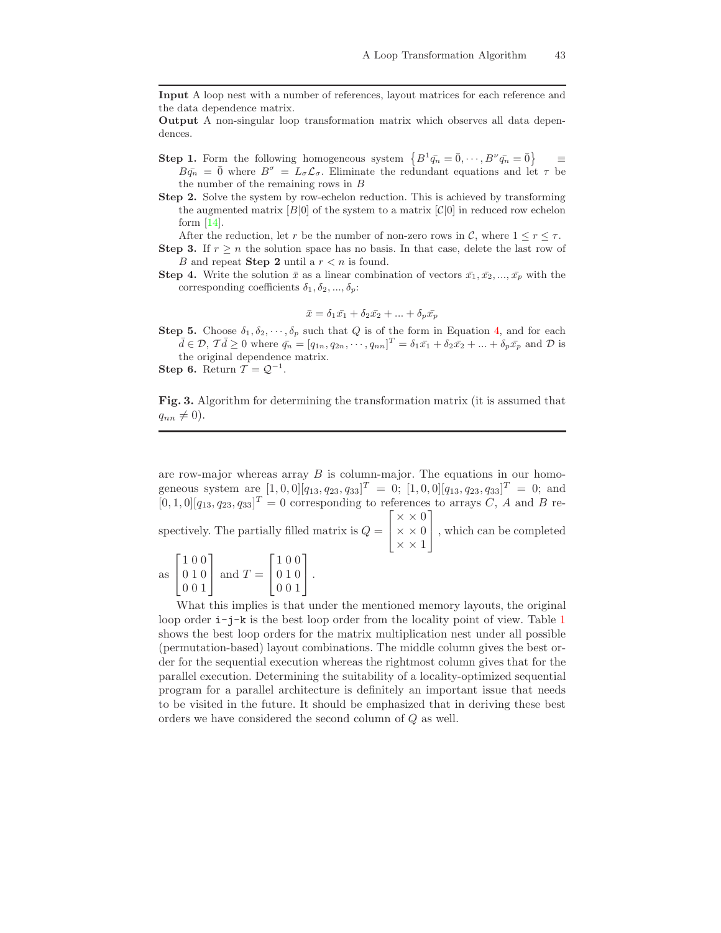<span id="page-9-1"></span>**Input** A loop nest with a number of references, layout matrices for each reference and the data dependence matrix.

**Output** A non-singular loop transformation matrix which observes all data dependences.

- <span id="page-9-0"></span>**Step 1.** Form the following homogeneous system  $\{B^1\bar{q}_n = \bar{0}, \dots, B^\nu\bar{q}_n = \bar{0}\}$  ≡  $B\bar{q}_n = \bar{0}$  where  $B^{\sigma} = L_{\sigma} \mathcal{L}_{\sigma}$ . Eliminate the redundant equations and let  $\tau$  be the number of the remaining rows in  $B$
- **Step 2.** Solve the system by row-echelon reduction. This is achieved by transforming the augmented matrix  $[B(0)]$  of the system to a matrix  $[C(0)]$  in reduced row echelon form [\[14\]](#page-16-7).

After the reduction, let r be the number of non-zero rows in C, where  $1 \leq r \leq \tau$ .

- **Step 3.** If  $r \geq n$  the solution space has no basis. In that case, delete the last row of B and repeat **Step 2** until a  $r < n$  is found.
- **Step 4.** Write the solution  $\bar{x}$  as a linear combination of vectors  $\bar{x_1}, \bar{x_2}, ..., \bar{x_p}$  with the corresponding coefficients  $\delta_1, \delta_2, ..., \delta_p$ :

$$
\bar{x} = \delta_1 \bar{x_1} + \delta_2 \bar{x_2} + \dots + \delta_p \bar{x_p}
$$

- **Step 5.** Choose  $\delta_1, \delta_2, \cdots, \delta_p$  such that Q is of the form in Equation [4,](#page-8-0) and for each  $\overline{d} \in \mathcal{D}, T\overline{d} \geq 0$  where  $\overline{q_n} = [q_{1n}, q_{2n}, \cdots, q_{nn}]^T = \delta_1 \overline{x_1} + \delta_2 \overline{x_2} + \ldots + \delta_p \overline{x_p}$  and  $\mathcal D$  is the original dependence matrix.
- **Step 6.** Return  $\mathcal{T} = \mathcal{Q}^{-1}$ .

**Fig. 3.** Algorithm for determining the transformation matrix (it is assumed that  $q_{nn} \neq 0$ .

are row-major whereas array  $B$  is column-major. The equations in our homogeneous system are  $[1,0,0][q_{13},q_{23},q_{33}]^{T} = 0$ ;  $[1,0,0][q_{13},q_{23},q_{33}]^{T} = 0$ ; and  $[0, 1, 0][q_{13}, q_{23}, q_{33}]^T = 0$  corresponding to references to arrays C, A and B re- $\sqrt{ }$  $\times$   $\times$   $0$ 1

spectively. The partially filled matrix is  $Q =$  $\overline{\phantom{a}}$  $\times \times 0$  $\times$   $\times$  1 , which can be completed

|    | 100    |           | 100  |  |
|----|--------|-----------|------|--|
| as | 010    | and $T =$ | 010  |  |
|    | . 001' |           | 1001 |  |

What this implies is that under the mentioned memory layouts, the original loop order  $i-j-k$  is the best loop order from the locality point of view. Table [1](#page-10-1) shows the best loop orders for the matrix multiplication nest under all possible (permutation-based) layout combinations. The middle column gives the best order for the sequential execution whereas the rightmost column gives that for the parallel execution. Determining the suitability ofa locality-optimized sequential program for a parallel architecture is definitely an important issue that needs to be visited in the future. It should be emphasized that in deriving these best orders we have considered the second column of Q as well.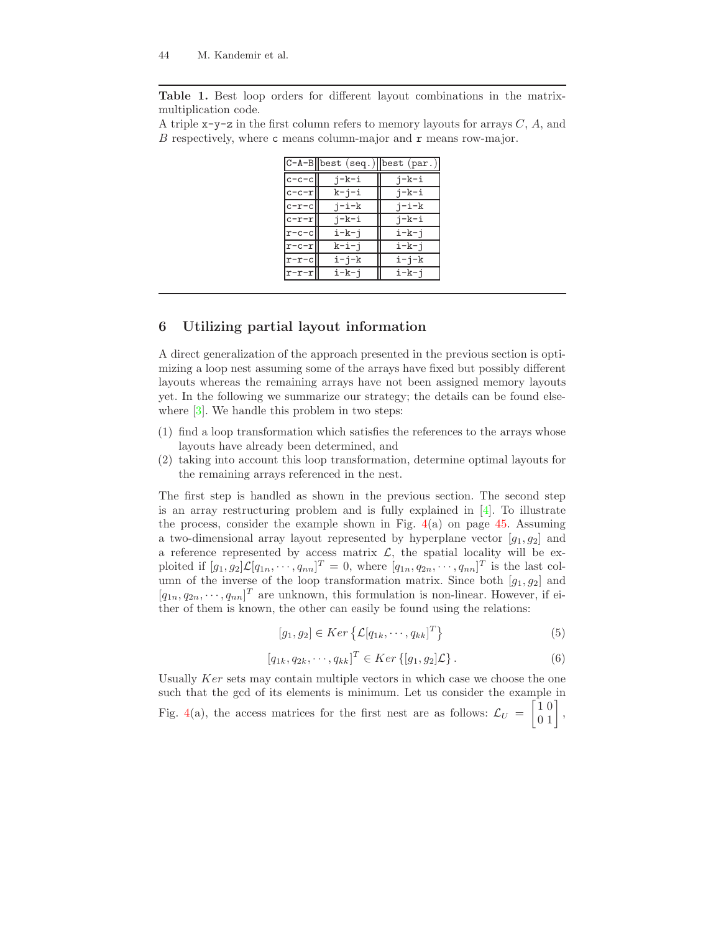<span id="page-10-5"></span><span id="page-10-4"></span><span id="page-10-1"></span>**Table 1.** Best loop orders for different layout combinations in the matrixmultiplication code.

A triple  $x-y-z$  in the first column refers to memory layouts for arrays C, A, and B respectively, where c means column-major and r means row-major.

|             | $ C-A-B $ best (seq.) best (par.) |         |
|-------------|-----------------------------------|---------|
| $c-c-c$     | $i-k-i$                           | $i-k-i$ |
| $c-c-r$     | k-j-i                             | i-k-i   |
| $c-r-c$     | i-i-k                             | $i-i-k$ |
| $c-r-r$     | i-k-i                             | i-k-i   |
| $r-c-c$     | i-k-j                             | i-k-j   |
| $r$ -c- $r$ | k-i-j                             | i-k-j   |
| $r-r-c$     | i-j-k                             | i-j-k   |
| $r-r-r$ ll  | i-k-j                             | i-k-j   |

## <span id="page-10-0"></span>**6 Utilizing partial layout information**

A direct generalization of the approach presented in the previous section is optimizing a loop nest assuming some ofthe arrays have fixed but possibly different layouts whereas the remaining arrays have not been assigned memory layouts yet. In the following we summarize our strategy; the details can be found elsewhere  $[3]$ . We handle this problem in two steps:

- (1) find a loop transformation which satisfies the references to the arrays whose layouts have already been determined, and
- (2) taking into account this loop transformation, determine optimal layouts for the remaining arrays referenced in the nest.

The first step is handled as shown in the previous section. The second step is an array restructuring problem and is fully explained in [\[4\]](#page-16-12). To illustrate the process, consider the example shown in Fig.  $4(a)$  $4(a)$  on page  $45$ . Assuming a two-dimensional array layout represented by hyperplane vector  $[g_1, g_2]$  and a reference represented by access matrix  $\mathcal{L}$ , the spatial locality will be exploited if  $[g_1, g_2] \mathcal{L}[q_{1n}, \dots, q_{nn}]^T = 0$ , where  $[q_{1n}, q_{2n}, \dots, q_{nn}]^T$  is the last column of the inverse of the loop transformation matrix. Since both  $[g_1, g_2]$  and  $[q_{1n}, q_{2n}, \dots, q_{nn}]^T$  are unknown, this formulation is non-linear. However, if either of them is known, the other can easily be found using the relations:

<span id="page-10-3"></span><span id="page-10-2"></span>
$$
[g_1, g_2] \in Ker \left\{ \mathcal{L}[q_{1k}, \cdots, q_{kk}]^T \right\}
$$
 (5)

$$
[q_{1k}, q_{2k}, \cdots, q_{kk}]^T \in Ker \{ [g_1, g_2] \mathcal{L} \}.
$$
 (6)

Usually  $Ker$  sets may contain multiple vectors in which case we choose the one such that the gcd of its elements is minimum. Let us consider the example in Fig. [4\(](#page-11-1)a), the access matrices for the first nest are as follows:  $\mathcal{L}_U = \begin{bmatrix} 1 & 0 \\ 0 & 1 \end{bmatrix}$ ,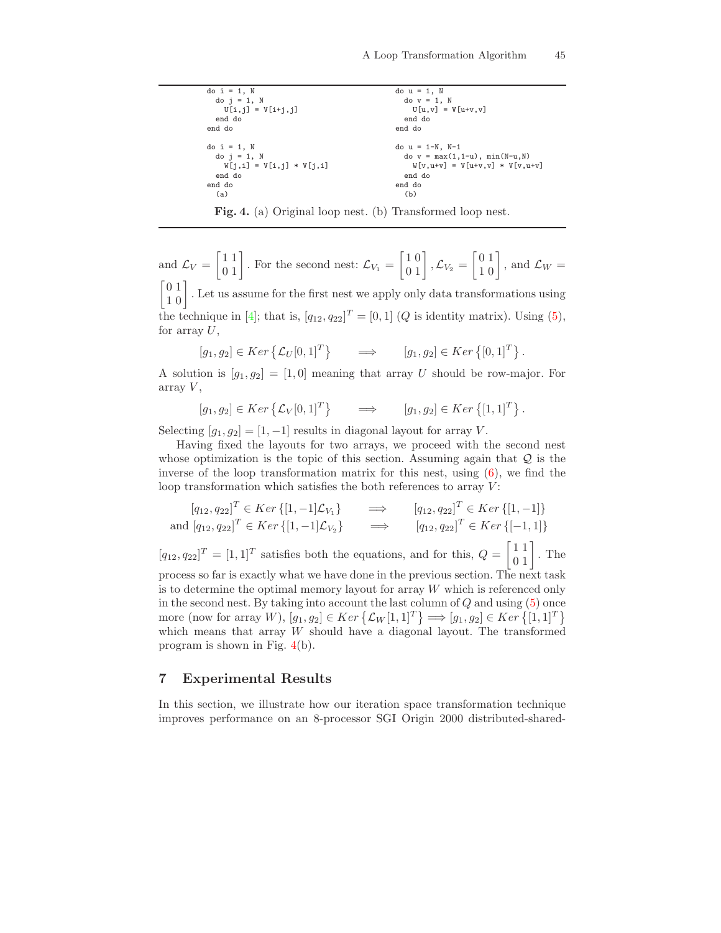```
do i = 1, N
 do j = 1, N
   U[i,j] = V[i+j,j]end do
end do
do i = 1, Ndo j = 1, N
   W[j,i] = V[i,j] + V[j,i]end do
end do
  (a)
                                            do u = 1, N
                                              do v = 1, N
                                                U[u,v] = V[u+v,v]end do
                                            end do
                                            do u = 1-N, N-1do v = max(1, 1-u), min(N-u, N)W[v, u+v] = V[u+v, v] * V[v, u+v]end do
                                            end do
                                               (b)
```


and  $\mathcal{L}_V = \begin{bmatrix} 1 & 1 \\ 0 & 1 \end{bmatrix}$ . For the second nest:  $\mathcal{L}_{V_1} = \begin{bmatrix} 1 & 0 \\ 0 & 1 \end{bmatrix}$ ,  $\mathcal{L}_{V_2} = \begin{bmatrix} 0 & 1 \\ 1 & 0 \end{bmatrix}$ , and  $\mathcal{L}_W =$  $\begin{bmatrix} 0 & 1 \\ 1 & 0 \end{bmatrix}$ . Let us assume for the first nest we apply only data transformations using the technique in [\[4\]](#page-16-18); that is,  $[q_{12}, q_{22}]^T = [0, 1]$  (Q is identity matrix). Using [\(5\)](#page-10-2), for array  $U$ .

$$
[g_1, g_2] \in \text{Ker} \{ \mathcal{L}_U[0, 1]^T \} \implies [g_1, g_2] \in \text{Ker} \{ [0, 1]^T \}.
$$

A solution is  $[q_1, q_2] = [1, 0]$  meaning that array U should be row-major. For array  $V$ ,

$$
[g_1, g_2] \in \text{Ker}\left\{\mathcal{L}_V[0, 1]^T\right\} \qquad \Longrightarrow \qquad [g_1, g_2] \in \text{Ker}\left\{[1, 1]^T\right\}.
$$

Selecting  $[g_1, g_2] = [1, -1]$  results in diagonal layout for array V.

Having fixed the layouts for two arrays, we proceed with the second nest whose optimization is the topic of this section. Assuming again that  $Q$  is the inverse of the loop transformation matrix for this nest, using  $(6)$ , we find the loop transformation which satisfies the both references to array  $V$ :

$$
[q_{12}, q_{22}]^{T} \in Ker \{ [1, -1] \mathcal{L}_{V_1} \} \implies [q_{12}, q_{22}]^{T} \in Ker \{ [1, -1] \}
$$
  
and  $[q_{12}, q_{22}]^{T} \in Ker \{ [1, -1] \mathcal{L}_{V_2} \} \implies [q_{12}, q_{22}]^{T} \in Ker \{ [-1, 1] \}$ 

 $[q_{12}, q_{22}]^T = [1, 1]^T$  satisfies both the equations, and for this,  $Q = \begin{bmatrix} 1 & 1 \\ 0 & 1 \end{bmatrix}$ . The process so far is exactly what we have done in the previous section. The next task is to determine the optimal memory layout for array  $W$  which is referenced only in the second nest. By taking into account the last column of  $Q$  and using  $(5)$  once more (now for array W),  $[g_1, g_2] \in \text{Ker} \left\{ \mathcal{L}_W[1, 1]^T \right\} \Longrightarrow [g_1, g_2] \in \text{Ker} \left\{ [1, 1]^T \right\}$ which means that array W should have a diagonal layout. The transformed program is shown in Fig. [4\(](#page-11-2)b).

#### <span id="page-11-0"></span>**7 Experimental Results**

In this section, we illustrate how our iteration space transformation technique improves performance on an 8-processor SGI Origin 2000 distributed-shared-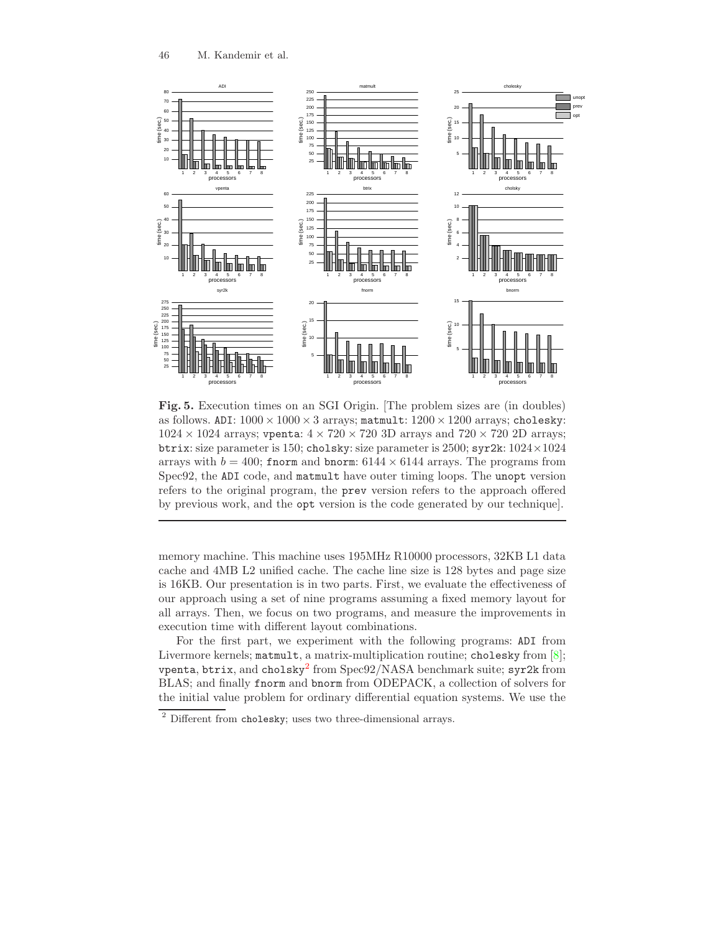<span id="page-12-2"></span><span id="page-12-1"></span>

**Fig. 5.** Execution times on an SGI Origin. [The problem sizes are (in doubles) as follows. ADI:  $1000 \times 1000 \times 3$  arrays; matmult:  $1200 \times 1200$  arrays; cholesky:  $1024 \times 1024$  arrays; vpenta:  $4 \times 720 \times 720$  3D arrays and  $720 \times 720$  2D arrays; btrix: size parameter is 150; cholsky: size parameter is 2500; syr2k:  $1024 \times 1024$ arrays with  $b = 400$ ; fnorm and bnorm:  $6144 \times 6144$  arrays. The programs from Spec92, the ADI code, and matmult have outer timing loops. The unopt version refers to the original program, the prev version refers to the approach offered by previous work, and the opt version is the code generated by our technique].

<span id="page-12-0"></span>memory machine. This machine uses 195MHz R10000 processors, 32KB L1 data cache and 4MB L2 unified cache. The cache line size is 128 bytes and page size is 16KB. Our presentation is in two parts. First, we evaluate the effectiveness of our approach using a set of nine programs assuming a fixed memory layout for all arrays. Then, we focus on two programs, and measure the improvements in execution time with different layout combinations.

For the first part, we experiment with the following programs: ADI from Livermore kernels;  $\texttt{matmult}$ , a matrix-multiplication routine; cholesky from [\[8\]](#page-16-1); vpenta, btrix, and cholsky<sup>[2](#page-12-0)</sup> from Spec $92/NASA$  benchmark suite; syr2k from BLAS; and finally fnorm and bnorm from ODEPACK, a collection of solvers for the initial value problem for ordinary differential equation systems. We use the

Different from cholesky; uses two three-dimensional arrays.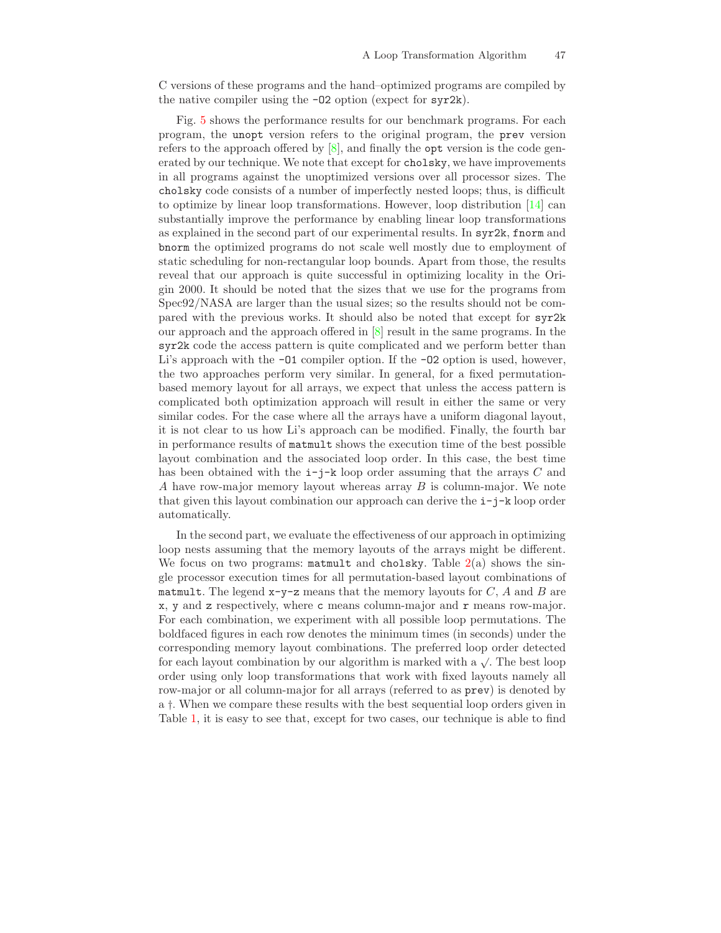<span id="page-13-0"></span>C versions of these programs and the hand–optimized programs are compiled by the native compiler using the -O2 option (expect for syr2k).

Fig. [5](#page-12-1) shows the performance results for our benchmark programs. For each program, the unopt version refers to the original program, the prev version refers to the approach offered by [\[8\]](#page-16-5), and finally the opt version is the code generated by our technique. We note that except for cholsky, we have improvements in all programs against the unoptimized versions over all processor sizes. The cholsky code consists of a number of imperfectly nested loops; thus, is difficult to optimize by linear loop transformations. However, loop distribution [\[14\]](#page-16-7) can substantially improve the performance by enabling linear loop transformations as explained in the second part of our experimental results. In syr2k, fnorm and bnorm the optimized programs do not scale well mostly due to employment of static scheduling for non-rectangular loop bounds. Apart from those, the results reveal that our approach is quite successful in optimizing locality in the Origin 2000. It should be noted that the sizes that we use for the programs from Spec92/NASA are larger than the usual sizes; so the results should not be compared with the previous works. It should also be noted that except for syr2k our approach and the approach offered in [\[8\]](#page-16-5) result in the same programs. In the syr2k code the access pattern is quite complicated and we perform better than Li's approach with the  $-01$  compiler option. If the  $-02$  option is used, however, the two approaches perform very similar. In general, for a fixed permutationbased memory layout for all arrays, we expect that unless the access pattern is complicated both optimization approach will result in either the same or very similar codes. For the case where all the arrays have a uniform diagonal layout, it is not clear to us how Li's approach can be modified. Finally, the fourth bar in performance results of matmult shows the execution time of the best possible layout combination and the associated loop order. In this case, the best time has been obtained with the  $i-j-k$  loop order assuming that the arrays C and A have row-major memory layout whereas array B is column-major. We note that given this layout combination our approach can derive the  $i-j-k$  loop order automatically.

In the second part, we evaluate the effectiveness of our approach in optimizing loop nests assuming that the memory layouts of the arrays might be different. We focus on two programs: matmult and cholsky. Table  $2(a)$  $2(a)$  shows the single processor execution times for all permutation-based layout combinations of matmult. The legend  $x-y-z$  means that the memory layouts for C, A and B are x, y and z respectively, where c means column-major and r means row-major. For each combination, we experiment with all possible loop permutations. The boldfaced figures in each row denotes the minimum times (in seconds) under the corresponding memory layout combinations. The preferred loop order detected for each layout combination by our algorithm is marked with a  $\sqrt{ }$ . The best loop order using only loop transformations that work with fixed layouts namely all row-major or all column-major for all arrays (referred to as prev) is denoted by a †. When we compare these results with the best sequential loop orders given in Table [1,](#page-10-1) it is easy to see that, except for two cases, our technique is able to find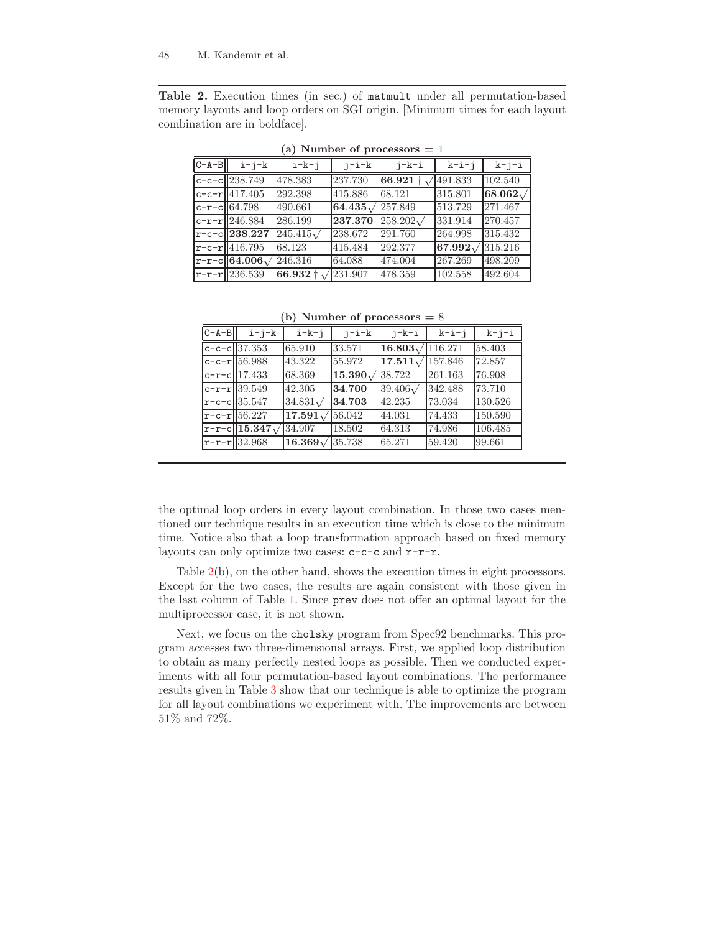<span id="page-14-1"></span><span id="page-14-0"></span>**Table 2.** Execution times (in sec.) of matmult under all permutation-based memory layouts and loop orders on SGI origin. [Minimum times for each layout combination are in boldface].

| $C - A - B$ | $i - j - k$                     | $i-k-i$          | $i-i-k$         | $j-k-i$                        | $k-i-i$             | $k - j - i$     |
|-------------|---------------------------------|------------------|-----------------|--------------------------------|---------------------|-----------------|
|             | $c-c-c$ 238.749                 | 478.383          | 237.730         | 66.921 $\frac{1}{2}$ / 491.833 |                     | 102.540         |
|             | $c-c-r$ 417.405                 | 292.398          | 415.886         | 68.121                         | 315.801             | $68.062\sqrt{}$ |
|             | $c-r-c$ 64.798                  | 490.661          | $64.435\sqrt{}$ | 257.849                        | 513.729             | 271.467         |
|             | $c-r-r$ 246.884                 | 286.199          | 237.370         | $258.202\sqrt{}$               | 331.914             | 270.457         |
|             | r-c-c  238.227                  | $245.415\sqrt{}$ | 238.672         | 291.760                        | 264.998             | 315.432         |
|             | $r$ -c- $r$   416.795           | 68.123           | 415.484         | 292.377                        | $\overline{67.992}$ | 1315.216        |
|             | $r-r-c$ 64.006 $\sqrt{246.316}$ |                  | 64.088          | 474.004                        | 267.269             | 498.209         |
|             | $r-r-r$  236.539                | $66.932 +$       | /231.907        | 478.359                        | 102.558             | 492.604         |

**(a) Number of processors =** 1

**(b) Number of processors =** 8

| $C - A - B$ | $i-j-k$                                   | $i-k-j$               | $i-i-k$         | $j-k-i$         | $k-i-i$ | $k-j-i$ |
|-------------|-------------------------------------------|-----------------------|-----------------|-----------------|---------|---------|
|             | $c-c-c$ 37.353                            | 65.910                | 33.571          | $16.803\sqrt{}$ | 116.271 | 58.403  |
|             | $c-c-r$ 56.988                            | 43.322                | 55.972          | $17.511\sqrt{}$ | 157.846 | 72.857  |
|             | $c-r-c$   17.433                          | 68.369                | $15.390\sqrt{}$ | 38.722          | 261.163 | 76.908  |
|             | $c-r-r$   39.549                          | 42.305                | 34.700          | $39.406\sqrt{}$ | 342.488 | 73.710  |
|             | $r - c - c$ 35.547                        | $34.831\sqrt{}$       | 34.703          | 42.235          | 73.034  | 130.526 |
|             | $r-c-r$   56.227                          | 17.591 <sub>v</sub>   | 56.042          | 44.031          | 74.433  | 150.590 |
|             | r-r-c $  15.3\overline{47}\sqrt{ 34.907}$ |                       | 18.502          | 64.313          | 74.986  | 106.485 |
|             | $r-r-r$   32.968                          | $16.369\sqrt{35.738}$ |                 | 65.271          | 59.420  | 99.661  |

the optimal loop orders in every layout combination. In those two cases mentioned our technique results in an execution time which is close to the minimum time. Notice also that a loop transformation approach based on fixed memory layouts can only optimize two cases:  $c-c-c$  and  $r-r-r$ .

Table [2\(](#page-14-1)b), on the other hand, shows the execution times in eight processors. Except for the two cases, the results are again consistent with those given in the last column of Table [1.](#page-10-4) Since prev does not offer an optimal layout for the multiprocessor case, it is not shown.

Next, we focus on the cholsky program from Spec92 benchmarks. This program accesses two three-dimensional arrays. First, we applied loop distribution to obtain as many perfectly nested loops as possible. Then we conducted experiments with all four permutation-based layout combinations. The performance results given in Table [3](#page-15-1) show that our technique is able to optimize the program for all layout combinations we experiment with. The improvements are between 51% and 72%.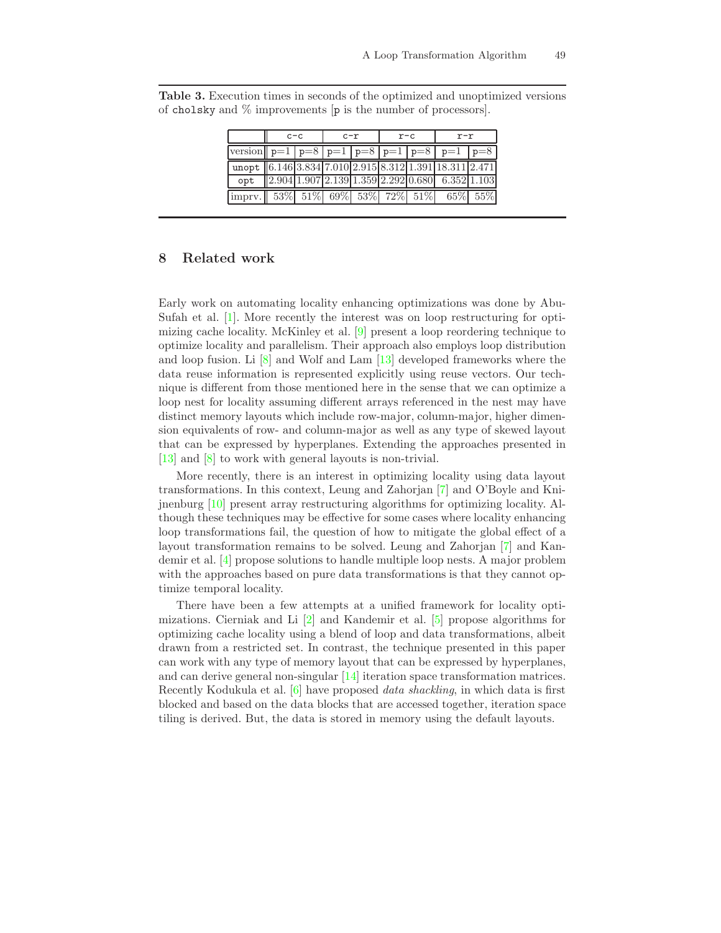|                                                         | $c-c$ |  | $c-r$ |  | $r-c$ |  | $r-r$                                                 |  |
|---------------------------------------------------------|-------|--|-------|--|-------|--|-------------------------------------------------------|--|
| version $p=1$ $p=8$ $p=1$ $p=8$ $p=1$ $p=8$ $p=1$ $p=8$ |       |  |       |  |       |  |                                                       |  |
| unopt 6.146 3.834 7.010 2.915 8.312 1.391 18.311 2.471  |       |  |       |  |       |  |                                                       |  |
|                                                         |       |  |       |  |       |  | opt  2.904 1.907 2.139 1.359 2.292 0.680  6.352 1.103 |  |
| $\boxed{\text{imprv.}}$ 53% 51% 69% 53% 72% 51% 65% 55% |       |  |       |  |       |  |                                                       |  |

<span id="page-15-2"></span><span id="page-15-1"></span>Table 3. Execution times in seconds of the optimized and unoptimized versions of cholsky and  $\%$  improvements  $[p]$  is the number of processors.

## <span id="page-15-0"></span>**8 Related work**

Early work on automating locality enhancing optimizations was done by Abu-Sufah et al. [\[1\]](#page-16-21). More recently the interest was on loop restructuring for optimizing cache locality. McKinley et al. [\[9\]](#page-16-6) present a loop reordering technique to optimize locality and parallelism. Their approach also employs loop distribution and loop fusion. Li  $[8]$  and Wolf and Lam  $[13]$  developed frameworks where the data reuse information is represented explicitly using reuse vectors. Our technique is different from those mentioned here in the sense that we can optimize a loop nest for locality assuming different arrays referenced in the nest may have distinct memory layouts which include row-major, column-major, higher dimension equivalents of row- and column-major as well as any type of skewed layout that can be expressed by hyperplanes. Extending the approaches presented in [\[13\]](#page-16-4) and [\[8\]](#page-16-5) to work with general layouts is non-trivial.

More recently, there is an interest in optimizing locality using data layout transformations. In this context, Leung and Zahorjan [\[7\]](#page-16-10) and O'Boyle and Knijnenburg [\[10\]](#page-16-8) present array restructuring algorithms for optimizing locality. Although these techniques may be effective for some cases where locality enhancing loop transformations fail, the question of how to mitigate the global effect of a layout transformation remains to be solved. Leung and Zahorjan [\[7\]](#page-16-10) and Kandemir et al. [\[4\]](#page-16-18) propose solutions to handle multiple loop nests. A major problem with the approaches based on pure data transformations is that they cannot optimize temporal locality.

There have been a few attempts at a unified framework for locality optimizations. Cierniak and Li [\[2\]](#page-16-9) and Kandemir et al. [\[5\]](#page-16-11) propose algorithms for optimizing cache locality using a blend ofloop and data transformations, albeit drawn from a restricted set. In contrast, the technique presented in this paper can work with any type of memory layout that can be expressed by hyperplanes, and can derive general non-singular [\[14\]](#page-16-7) iteration space transformation matrices. Recently Kodukula et al. [\[6\]](#page-16-22) have proposed *data shackling*, in which data is first blocked and based on the data blocks that are accessed together, iteration space tiling is derived. But, the data is stored in memory using the default layouts.